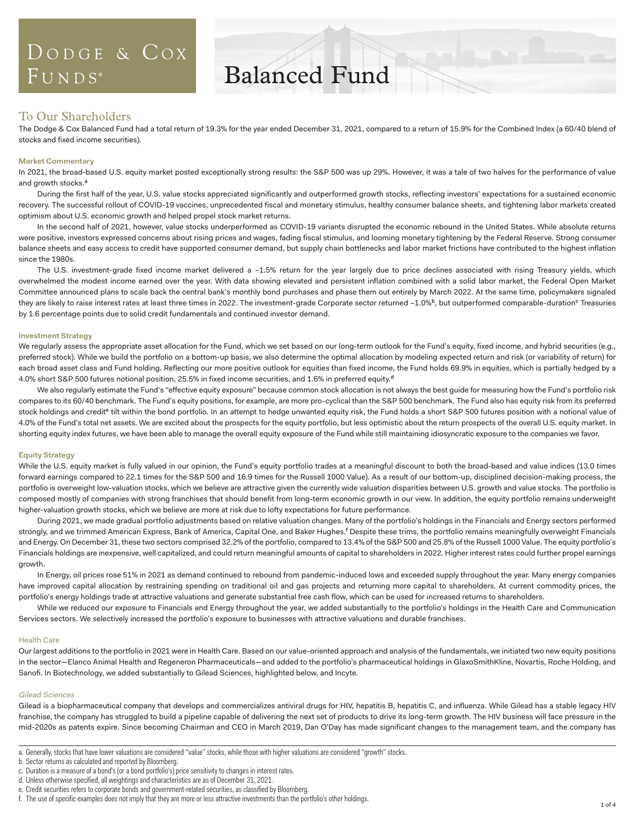## DODGE & COX  $FUNDS^*$

## Balanced Fund

### To Our Shareholders

The Dodge & Cox Balanced Fund had a total return of 19.3% for the year ended December 31, 2021, compared to a return of 15.9% for the Combined Index (a 60/40 blend of stocks and fixed income securities).

#### **Market Commentary**

In 2021, the broad-based U.S. equity market posted exceptionally strong results: the S&P 500 was up 29%. However, it was a tale of two halves for the performance of value and growth stocks.<sup>a</sup>

During the first half of the year, U.S. value stocks appreciated significantly and outperformed growth stocks, reflecting investors' expectations for a sustained economic recovery. The successful rollout of COVID-19 vaccines, unprecedented fiscal and monetary stimulus, healthy consumer balance sheets, and tightening labor markets created optimism about U.S. economic growth and helped propel stock market returns.

In the second half of 2021, however, value stocks underperformed as COVID-19 variants disrupted the economic rebound in the United States. While absolute returns were positive, investors expressed concerns about rising prices and wages, fading fiscal stimulus, and looming monetary tightening by the Federal Reserve. Strong consumer balance sheets and easy access to credit have supported consumer demand, but supply chain bottlenecks and labor market frictions have contributed to the highest inflation since the 1980s.

The U.S. investment-grade fixed income market delivered a –1.5% return for the year largely due to price declines associated with rising Treasury yields, which overwhelmed the modest income earned over the year. With data showing elevated and persistent inflation combined with a solid labor market, the Federal Open Market Committee announced plans to scale back the central bank's monthly bond purchases and phase them out entirely by March 2022. At the same time, policymakers signaled they are likely to raise interest rates at least three times in 2022. The investment-grade Corporate sector returned –1.0%b, but outperformed comparable-duration<sup>c</sup> Treasuries by 1.6 percentage points due to solid credit fundamentals and continued investor demand.

#### **Investment Strategy**

We regularly assess the appropriate asset allocation for the Fund, which we set based on our long-term outlook for the Fund's equity, fixed income, and hybrid securities (e.g., preferred stock). While we build the portfolio on a bottom-up basis, we also determine the optimal allocation by modeling expected return and risk (or variability of return) for each broad asset class and Fund holding. Reflecting our more positive outlook for equities than fixed income, the Fund holds 69.9% in equities, which is partially hedged by a 4.0% short S&P 500 futures notional position, 25.5% in fixed income securities, and 1.6% in preferred equity.<sup>d</sup>

We also regularly estimate the Fund's "effective equity exposure" because common stock allocation is not always the best guide for measuring how the Fund's portfolio risk compares to its 60/40 benchmark. The Fund's equity positions, for example, are more pro-cyclical than the S&P 500 benchmark. The Fund also has equity risk from its preferred stock holdings and credit<sup>e</sup> tilt within the bond portfolio. In an attempt to hedge unwanted equity risk, the Fund holds a short S&P 500 futures position with a notional value of 4.0% of the Fund's total net assets. We are excited about the prospects for the equity portfolio, but less optimistic about the return prospects of the overall U.S. equity market. In shorting equity index futures, we have been able to manage the overall equity exposure of the Fund while still maintaining idiosyncratic exposure to the companies we favor.

#### **Equity Strategy**

While the U.S. equity market is fully valued in our opinion, the Fund's equity portfolio trades at a meaningful discount to both the broad-based and value indices (13.0 times forward earnings compared to 22.1 times for the S&P 500 and 16.9 times for the Russell 1000 Value). As a result of our bottom-up, disciplined decision-making process, the portfolio is overweight low-valuation stocks, which we believe are attractive given the currently wide valuation disparities between U.S. growth and value stocks. The portfolio is composed mostly of companies with strong franchises that should benefit from long-term economic growth in our view. In addition, the equity portfolio remains underweight higher-valuation growth stocks, which we believe are more at risk due to lofty expectations for future performance.

During 2021, we made gradual portfolio adjustments based on relative valuation changes. Many of the portfolio's holdings in the Financials and Energy sectors performed strongly, and we trimmed American Express, Bank of America, Capital One, and Baker Hughes.<sup>f</sup> Despite these trims, the portfolio remains meaningfully overweight Financials and Energy. On December 31, these two sectors comprised 32.2% of the portfolio, compared to 13.4% of the S&P 500 and 25.8% of the Russell 1000 Value. The equity portfolio's Financials holdings are inexpensive, well capitalized, and could return meaningful amounts of capital to shareholders in 2022. Higher interest rates could further propel earnings growth.

In Energy, oil prices rose 51% in 2021 as demand continued to rebound from pandemic-induced lows and exceeded supply throughout the year. Many energy companies have improved capital allocation by restraining spending on traditional oil and gas projects and returning more capital to shareholders. At current commodity prices, the portfolio's energy holdings trade at attractive valuations and generate substantial free cash flow, which can be used for increased returns to shareholders.

While we reduced our exposure to Financials and Energy throughout the year, we added substantially to the portfolio's holdings in the Health Care and Communication Services sectors. We selectively increased the portfolio's exposure to businesses with attractive valuations and durable franchises.

#### Health Care

Our largest additions to the portfolio in 2021 were in Health Care. Based on our value-oriented approach and analysis of the fundamentals, we initiated two new equity positions in the sector—Elanco Animal Health and Regeneron Pharmaceuticals—and added to the portfolio's pharmaceutical holdings in GlaxoSmithKline, Novartis, Roche Holding, and Sanofi. In Biotechnology, we added substantially to Gilead Sciences, highlighted below, and Incyte.

#### Gilead Sciences

Gilead is a biopharmaceutical company that develops and commercializes antiviral drugs for HIV, hepatitis B, hepatitis C, and influenza. While Gilead has a stable legacy HIV franchise, the company has struggled to build a pipeline capable of delivering the next set of products to drive its long-term growth. The HIV business will face pressure in the mid-2020s as patents expire. Since becoming Chairman and CEO in March 2019, Dan O'Day has made significant changes to the management team, and the company has

b. Sector returns as calculated and reported by Bloomberg.

d. Unless otherwise specified, all weightings and characteristics are as of December 31, 2021.

f. The use of specific examples does not imply that they are more or less attractive investments than the portfolio's other holdings.

a. Generally, stocks that have lower valuations are considered "value" stocks, while those with higher valuations are considered "growth" stocks.

c. Duration is a measure of a bond's (or a bond portfolio's) price sensitivity to changes in interest rates.

e. Credit securities refers to corporate bonds and government-related securities, as classified by Bloomberg.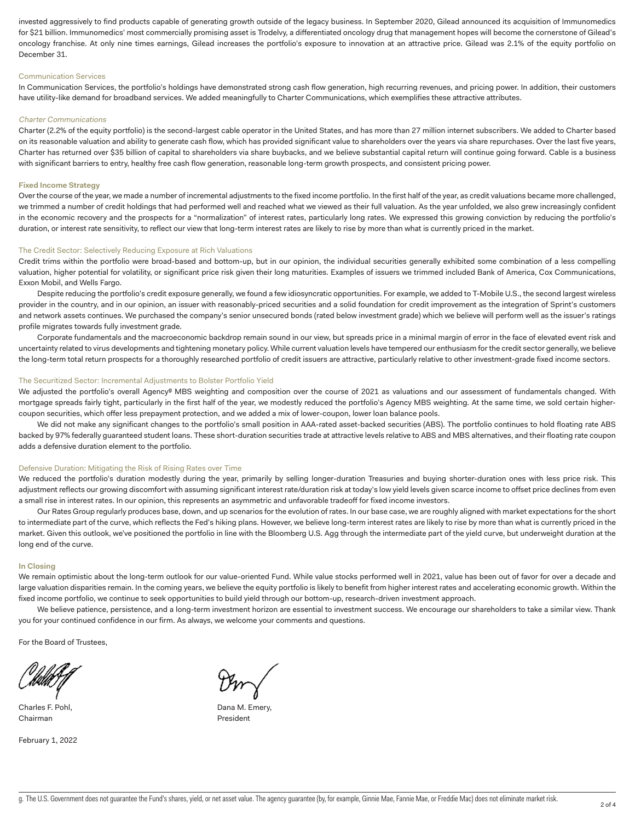invested aggressively to find products capable of generating growth outside of the legacy business. In September 2020, Gilead announced its acquisition of Immunomedics for \$21 billion. Immunomedics' most commercially promising asset is Trodelvy, a differentiated oncology drug that management hopes will become the cornerstone of Gilead's oncology franchise. At only nine times earnings, Gilead increases the portfolio's exposure to innovation at an attractive price. Gilead was 2.1% of the equity portfolio on December 31.

#### Communication Services

In Communication Services, the portfolio's holdings have demonstrated strong cash flow generation, high recurring revenues, and pricing power. In addition, their customers have utility-like demand for broadband services. We added meaningfully to Charter Communications, which exemplifies these attractive attributes.

#### Charter Communications

Charter (2.2% of the equity portfolio) is the second-largest cable operator in the United States, and has more than 27 million internet subscribers. We added to Charter based on its reasonable valuation and ability to generate cash flow, which has provided significant value to shareholders over the years via share repurchases. Over the last five years, Charter has returned over \$35 billion of capital to shareholders via share buybacks, and we believe substantial capital return will continue going forward. Cable is a business with significant barriers to entry, healthy free cash flow generation, reasonable long-term growth prospects, and consistent pricing power.

#### **Fixed Income Strategy**

Over the course of the year, we made a number of incremental adjustments to the fixed income portfolio. In the first half of the year, as credit valuations became more challenged, we trimmed a number of credit holdings that had performed well and reached what we viewed as their full valuation. As the year unfolded, we also grew increasingly confident in the economic recovery and the prospects for a "normalization" of interest rates, particularly long rates. We expressed this growing conviction by reducing the portfolio's duration, or interest rate sensitivity, to reflect our view that long-term interest rates are likely to rise by more than what is currently priced in the market.

#### The Credit Sector: Selectively Reducing Exposure at Rich Valuations

Credit trims within the portfolio were broad-based and bottom-up, but in our opinion, the individual securities generally exhibited some combination of a less compelling valuation, higher potential for volatility, or significant price risk given their long maturities. Examples of issuers we trimmed included Bank of America, Cox Communications, Exxon Mobil, and Wells Fargo.

Despite reducing the portfolio's credit exposure generally, we found a few idiosyncratic opportunities. For example, we added to T-Mobile U.S., the second largest wireless provider in the country, and in our opinion, an issuer with reasonably-priced securities and a solid foundation for credit improvement as the integration of Sprint's customers and network assets continues. We purchased the company's senior unsecured bonds (rated below investment grade) which we believe will perform well as the issuer's ratings profile migrates towards fully investment grade.

Corporate fundamentals and the macroeconomic backdrop remain sound in our view, but spreads price in a minimal margin of error in the face of elevated event risk and uncertainty related to virus developments and tightening monetary policy. While current valuation levels have tempered our enthusiasm for the credit sector generally, we believe the long-term total return prospects for a thoroughly researched portfolio of credit issuers are attractive, particularly relative to other investment-grade fixed income sectors.

#### The Securitized Sector: Incremental Adjustments to Bolster Portfolio Yield

We adjusted the portfolio's overall Agency<sup>g</sup> MBS weighting and composition over the course of 2021 as valuations and our assessment of fundamentals changed. With mortgage spreads fairly tight, particularly in the first half of the year, we modestly reduced the portfolio's Agency MBS weighting. At the same time, we sold certain highercoupon securities, which offer less prepayment protection, and we added a mix of lower-coupon, lower loan balance pools.

We did not make any significant changes to the portfolio's small position in AAA-rated asset-backed securities (ABS). The portfolio continues to hold floating rate ABS backed by 97% federally guaranteed student loans. These short-duration securities trade at attractive levels relative to ABS and MBS alternatives, and their floating rate coupon adds a defensive duration element to the portfolio.

#### Defensive Duration: Mitigating the Risk of Rising Rates over Time

We reduced the portfolio's duration modestly during the year, primarily by selling longer-duration Treasuries and buying shorter-duration ones with less price risk. This adjustment reflects our growing discomfort with assuming significant interest rate/duration risk at today's low yield levels given scarce income to offset price declines from even a small rise in interest rates. In our opinion, this represents an asymmetric and unfavorable tradeoff for fixed income investors.

Our Rates Group regularly produces base, down, and up scenarios for the evolution of rates. In our base case, we are roughly aligned with market expectations for the short to intermediate part of the curve, which reflects the Fed's hiking plans. However, we believe long-term interest rates are likely to rise by more than what is currently priced in the market. Given this outlook, we've positioned the portfolio in line with the Bloomberg U.S. Agg through the intermediate part of the yield curve, but underweight duration at the long end of the curve.

#### **In Closing**

We remain optimistic about the long-term outlook for our value-oriented Fund. While value stocks performed well in 2021, value has been out of favor for over a decade and large valuation disparities remain. In the coming years, we believe the equity portfolio is likely to benefit from higher interest rates and accelerating economic growth. Within the fixed income portfolio, we continue to seek opportunities to build yield through our bottom-up, research-driven investment approach.

We believe patience, persistence, and a long-term investment horizon are essential to investment success. We encourage our shareholders to take a similar view. Thank you for your continued confidence in our firm. As always, we welcome your comments and questions.

For the Board of Trustees,

Charles F. Pohl, Dana M. Emery, Dana M. Emery, Dana M. Emery, Dana M. Emery, D. 2004. Chairman **President** 

February 1, 2022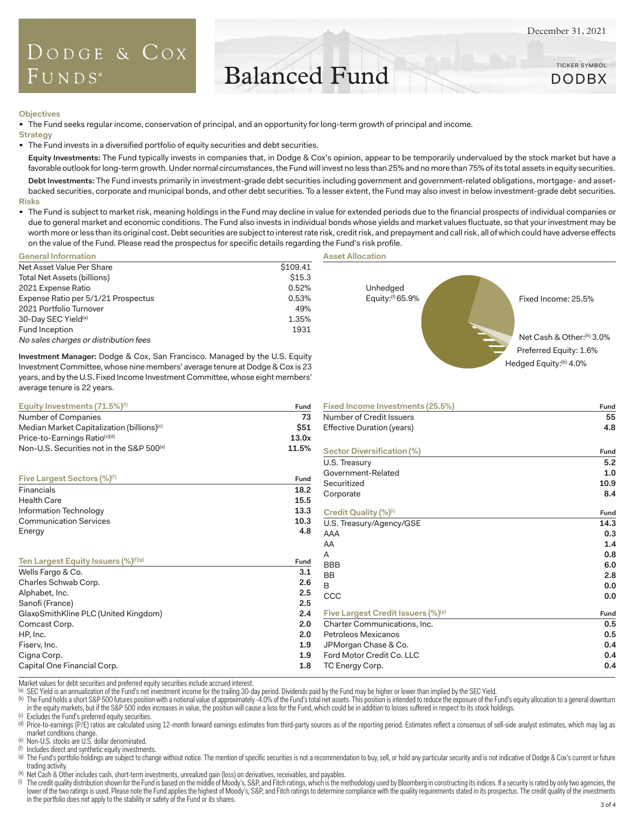TICKER SYMBOL DODBX

### DODGE & COX  $F$  UNDS<sup>®</sup>

# Balanced Fund

**Objectives**

The Fund seeks regular income, conservation of principal, and an opportunity for long-term growth of principal and income.

**Strategy**

The Fund invests in a diversified portfolio of equity securities and debt securities.

**Equity Investments:** The Fund typically invests in companies that, in Dodge & Cox's opinion, appear to be temporarily undervalued by the stock market but have a favorable outlook for long-term growth. Under normal circumstances, the Fund will invest no less than 25% and no more than 75% of its total assets in equity securities.

**Debt Investments:** The Fund invests primarily in investment-grade debt securities including government and government-related obligations, mortgage- and assetbacked securities, corporate and municipal bonds, and other debt securities. To a lesser extent, the Fund may also invest in below investment-grade debt securities. **Risks**

" The Fund is subject to market risk, meaning holdings in the Fund may decline in value for extended periods due to the financial prospects of individual companies or due to general market and economic conditions. The Fund also invests in individual bonds whose yields and market values fluctuate, so that your investment may be worth more or less than its original cost. Debt securities are subject to interest rate risk, credit risk, and prepayment and call risk, all of which could have adverse effects on the value of the Fund. Please read the prospectus for specific details regarding the Fund's risk profile.

**Asset Allocation**

| <b>General Information</b>            |          |
|---------------------------------------|----------|
| Net Asset Value Per Share             | \$109.41 |
| Total Net Assets (billions)           | \$15.3   |
| 2021 Expense Ratio                    | 0.52%    |
| Expense Ratio per 5/1/21 Prospectus   | 0.53%    |
| 2021 Portfolio Turnover               | 49%      |
| 30-Day SEC Yield <sup>(a)</sup>       | 1.35%    |
| Fund Inception                        | 1931     |
| No sales charges or distribution fees |          |

**Investment Manager:** Dodge & Cox, San Francisco. Managed by the U.S. Equity Investment Committee, whose nine members' average tenure at Dodge & Cox is 23 Unhedged Equity:(f) 65.9% Preferred Equity: 1.6% Fixed Income: 25.5% Hedged Equity:<sup>(b)</sup> 4.0% Net Cash & Other:<sup>(h)</sup> 3.0%

| years, and by the U.S. Fixed Income Investment Committee, whose eight members'<br>average tenure is 22 years. |            |                                  |      |  |  |  |
|---------------------------------------------------------------------------------------------------------------|------------|----------------------------------|------|--|--|--|
| Equity Investments $(71.5\%)$ <sup>(f)</sup>                                                                  | Fund       | Fixed Income Investments (25.5%) | Fund |  |  |  |
| Number of Companies                                                                                           | 73.        | Number of Credit Issuers         | 55   |  |  |  |
| Median Market Capitalization (billions) <sup>(c)</sup>                                                        | <b>S51</b> | Effective Duration (years)       | 4.8  |  |  |  |
| $Price-to-Farninos Ratio(c)(d)$                                                                               | 13 $0x$    |                                  |      |  |  |  |

| Non-U.S. Securities not in the S&P 500 <sup>(e)</sup> | 11.5% | Sector Diversification (%)         | Fund |
|-------------------------------------------------------|-------|------------------------------------|------|
|                                                       |       | U.S. Treasury                      | 5.2  |
|                                                       |       | Government-Related                 | 1.0  |
| Five Largest Sectors (%) <sup>(f)</sup>               | Fund  | Securitized                        | 10.9 |
| Financials                                            | 18.2  | Corporate                          | 8.4  |
| <b>Health Care</b>                                    | 15.5  |                                    |      |
| Information Technology                                | 13.3  | Credit Quality (%)(i)              | Fund |
| <b>Communication Services</b>                         | 10.3  | U.S. Treasury/Agency/GSE           | 14.3 |
| Energy                                                | 4.8   | AAA                                | 0.3  |
|                                                       |       | AA                                 | 1.4  |
|                                                       |       | A                                  | 0.8  |
| Ten Largest Equity Issuers (%)(f)(g)                  | Fund  | <b>BBB</b>                         | 6.0  |
| Wells Fargo & Co.                                     | 3.1   | <b>BB</b>                          | 2.8  |
| Charles Schwab Corp.                                  | 2.6   | B                                  | 0.0  |
| Alphabet, Inc.                                        | 2.5   | CCC                                | 0.0  |
| Sanofi (France)                                       | 2.5   |                                    |      |
| GlaxoSmithKline PLC (United Kingdom)                  | 2.4   | Five Largest Credit Issuers (%)(g) | Fund |
| Comcast Corp.                                         | 2.0   | Charter Communications, Inc.       | 0.5  |
| HP, Inc.                                              | 2.0   | Petroleos Mexicanos                | 0.5  |
| Fiserv, Inc.                                          | 1.9   | JPMorgan Chase & Co.               | 0.4  |
| Cigna Corp.                                           | 1.9   | Ford Motor Credit Co. LLC          | 0.4  |
| Capital One Financial Corp.                           | 1.8   | TC Energy Corp.                    | 0.4  |
|                                                       |       |                                    |      |

Market values for debt securities and preferred equity securities include accrued interest.

(a) SEC Yield is an annualization of the Fund's net investment income for the trailing 30-day period. Dividends paid by the Fund may be higher or lower than implied by the SEC Yield.

(b) The Fund holds a short S&P 500 futures position with a notional value of approximately -4.0% of the Fund's total net assets. This position is intended to reduce the exposure of the Fund's equity allocation to a general in the equity markets, but if the S&P 500 index increases in value, the position will cause a loss for the Fund, which could be in addition to losses suffered in respect to its stock holdings.

(c) Excludes the Fund's preferred equity securities. (d) Price-to-earnings (P/E) ratios are calculated using 12-month forward earnings estimates from third-party sources as of the reporting period. Estimates reflect a consensus of sell-side analyst estimates, which may lag a market conditions change.

(e) Non-U.S. stocks are U.S. dollar denominated.

(f) Includes direct and synthetic equity investments.

(a) The Fund's portfolio holdings are subject to change without notice. The mention of specific securities is not a recommendation to buy, sell, or hold any particular security and is not indicative of Dodge & Cox's curren trading activity.

(h) Net Cash & Other includes cash, short-term investments, unrealized gain (loss) on derivatives, receivables, and payables.

The credit quality distribution shown for the Fund is based on the middle of Moody's, S&P, and Fitch ratings, which is the methodology used by Bloomberg in constructing its indices. If a security is rated by only two agenc lower of the two ratings is used. Please note the Fund applies the highest of Moody's, S&P, and Fitch ratings to determine compliance with the quality requirements stated in its prospectus. The credit quality of the invest in the portfolio does not apply to the stability or safety of the Fund or its shares. 3 of 4